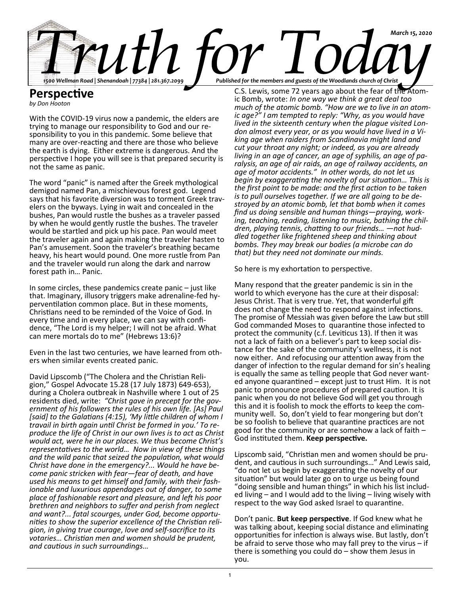

# **Perspective** *by Don Hooton*

With the COVID-19 virus now a pandemic, the elders are trying to manage our responsibility to God and our responsibility to you in this pandemic. Some believe that many are over-reacting and there are those who believe the earth is dying. Either extreme is dangerous. And the perspective I hope you will see is that prepared security is not the same as panic.

The word "panic" is named after the Greek mythological demigod named Pan, a mischievous forest god. Legend says that his favorite diversion was to torment Greek travelers on the byways. Lying in wait and concealed in the bushes, Pan would rustle the bushes as a traveler passed by when he would gently rustle the bushes. The traveler would be startled and pick up his pace. Pan would meet the traveler again and again making the traveler hasten to Pan's amusement. Soon the traveler's breathing became heavy, his heart would pound. One more rustle from Pan and the traveler would run along the dark and narrow forest path in… Panic.

In some circles, these pandemics create panic – just like that. Imaginary, illusory triggers make adrenaline-fed hyperventilation common place. But in these moments, Christians need to be reminded of the Voice of God. In every time and in every place, we can say with confidence, "The Lord is my helper; I will not be afraid. What can mere mortals do to me" (Hebrews 13:6)?

Even in the last two centuries, we have learned from others when similar events created panic.

David Lipscomb ("The Cholera and the Christian Religion," Gospel Advocate 15.28 (17 July 1873) 649-653), during a Cholera outbreak in Nashville where 1 out of 25 residents died, write: *"Christ gave in precept for the government of his followers the rules of his own life. [As] Paul [said] to the Galatians (4:15), 'My little children of whom I travail in birth again until Christ be formed in you.' To reproduce the life of Christ in our own lives is to act as Christ would act, were he in our places. We thus become Christ's representatives to the world… Now in view of these things and the wild panic that seized the population, what would Christ have done in the emergency?... Would he have become panic stricken with fear—fear of death, and have used his means to get himself and family, with their fashionable and luxurious appendages out of danger, to some place of fashionable resort and pleasure, and left his poor brethren and neighbors to suffer and perish from neglect and want?... fatal scourges, under God, become opportunities to show the superior excellence of the Christian religion, in giving true courage*, *love and self-sacrifice to its votaries… Christian men and women should be prudent, and cautious in such surroundings…*

C.S. Lewis, some 72 years ago about the fear of the Atomic Bomb, wrote: *In one way we think a great deal too much of the atomic bomb. "How are we to live in an atomic age?" I am tempted to reply: "Why, as you would have lived in the sixteenth century when the plague visited London almost every year, or as you would have lived in a Viking age when raiders from Scandinavia might land and cut your throat any night; or indeed, as you are already living in an age of cancer, an age of syphilis, an age of paralysis, an age of air raids, an age of railway accidents, an age of motor accidents." In other words, do not let us begin by exaggerating the novelty of our situation… This is the first point to be made: and the first action to be taken is to pull ourselves together. If we are all going to be destroyed by an atomic bomb, let that bomb when it comes find us doing sensible and human things—praying, working, teaching, reading, listening to music, bathing the children, playing tennis, chatting to our friends… —not huddled together like frightened sheep and thinking about bombs. They may break our bodies (a microbe can do that) but they need not dominate our minds.*

So here is my exhortation to perspective.

Many respond that the greater pandemic is sin in the world to which everyone has the cure at their disposal: Jesus Christ. That is very true. Yet, that wonderful gift does not change the need to respond against infections. The promise of Messiah was given before the Law but still God commanded Moses to quarantine those infected to protect the community (c.f. Leviticus 13). If then it was not a lack of faith on a believer's part to keep social distance for the sake of the community's wellness, it is not now either. And refocusing our attention away from the danger of infection to the regular demand for sin's healing is equally the same as telling people that God never wanted anyone quarantined – except just to trust Him. It is not panic to pronounce procedures of prepared caution. It is panic when you do not believe God will get you through this and it is foolish to mock the efforts to keep the community well. So, don't yield to fear mongering but don't be so foolish to believe that quarantine practices are not good for the community or are somehow a lack of faith – God instituted them. **Keep perspective.**

Lipscomb said, "Christian men and women should be prudent, and cautious in such surroundings…" And Lewis said, "do not let us begin by exaggerating the novelty of our situation" but would later go on to urge us being found "doing sensible and human things" in which his list included living – and I would add to the living – living wisely with respect to the way God asked Israel to quarantine.

Don't panic. **But keep perspective**. If God knew what he was talking about, keeping social distance and eliminating opportunities for infection is always wise. But lastly, don't be afraid to serve those who may fall prey to the virus – if there is something you could do – show them Jesus in you.